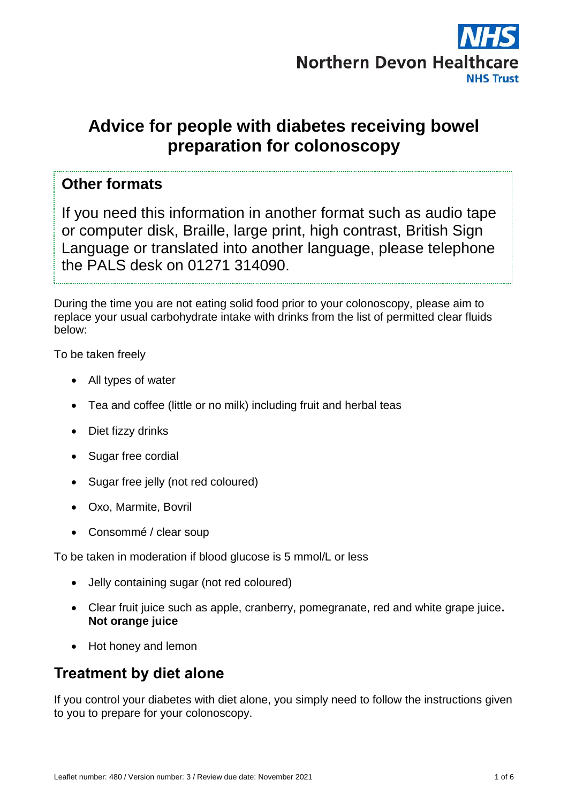

# **Advice for people with diabetes receiving bowel preparation for colonoscopy**

#### **Other formats**

If you need this information in another format such as audio tape or computer disk, Braille, large print, high contrast, British Sign Language or translated into another language, please telephone the PALS desk on 01271 314090.

During the time you are not eating solid food prior to your colonoscopy, please aim to replace your usual carbohydrate intake with drinks from the list of permitted clear fluids below:

To be taken freely

- All types of water
- Tea and coffee (little or no milk) including fruit and herbal teas
- Diet fizzy drinks
- Sugar free cordial
- Sugar free jelly (not red coloured)
- Oxo, Marmite, Bovril
- Consommé / clear soup

To be taken in moderation if blood glucose is 5 mmol/L or less

- Jelly containing sugar (not red coloured)
- Clear fruit juice such as apple, cranberry, pomegranate, red and white grape juice**. Not orange juice**
- Hot honey and lemon

## **Treatment by diet alone**

If you control your diabetes with diet alone, you simply need to follow the instructions given to you to prepare for your colonoscopy.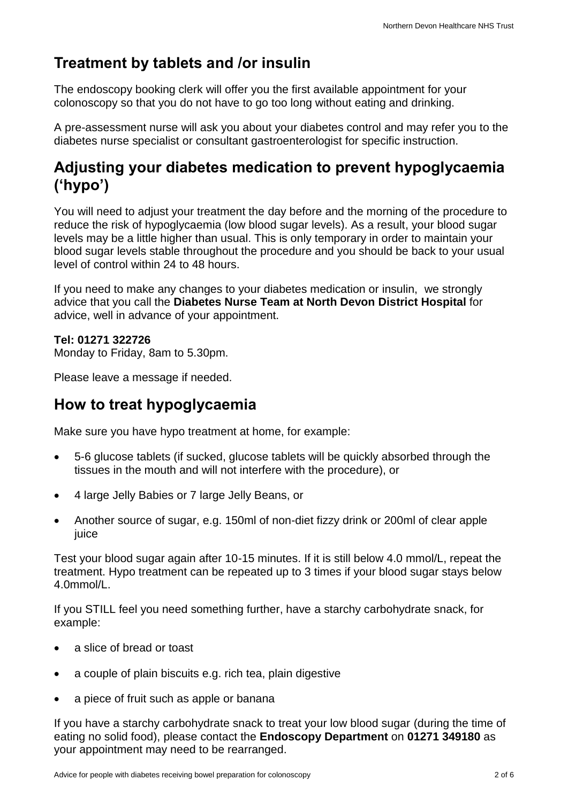# **Treatment by tablets and /or insulin**

The endoscopy booking clerk will offer you the first available appointment for your colonoscopy so that you do not have to go too long without eating and drinking.

A pre-assessment nurse will ask you about your diabetes control and may refer you to the diabetes nurse specialist or consultant gastroenterologist for specific instruction.

### **Adjusting your diabetes medication to prevent hypoglycaemia ('hypo')**

You will need to adjust your treatment the day before and the morning of the procedure to reduce the risk of hypoglycaemia (low blood sugar levels). As a result, your blood sugar levels may be a little higher than usual. This is only temporary in order to maintain your blood sugar levels stable throughout the procedure and you should be back to your usual level of control within 24 to 48 hours.

If you need to make any changes to your diabetes medication or insulin, we strongly advice that you call the **Diabetes Nurse Team at North Devon District Hospital** for advice, well in advance of your appointment.

#### **Tel: 01271 322726**

Monday to Friday, 8am to 5.30pm.

Please leave a message if needed.

### **How to treat hypoglycaemia**

Make sure you have hypo treatment at home, for example:

- 5-6 glucose tablets (if sucked, glucose tablets will be quickly absorbed through the tissues in the mouth and will not interfere with the procedure), or
- 4 large Jelly Babies or 7 large Jelly Beans, or
- Another source of sugar, e.g. 150ml of non-diet fizzy drink or 200ml of clear apple juice

Test your blood sugar again after 10-15 minutes. If it is still below 4.0 mmol/L, repeat the treatment. Hypo treatment can be repeated up to 3 times if your blood sugar stays below 4.0mmol/L.

If you STILL feel you need something further, have a starchy carbohydrate snack, for example:

- a slice of bread or toast
- a couple of plain biscuits e.g. rich tea, plain digestive
- a piece of fruit such as apple or banana

If you have a starchy carbohydrate snack to treat your low blood sugar (during the time of eating no solid food), please contact the **Endoscopy Department** on **01271 349180** as your appointment may need to be rearranged.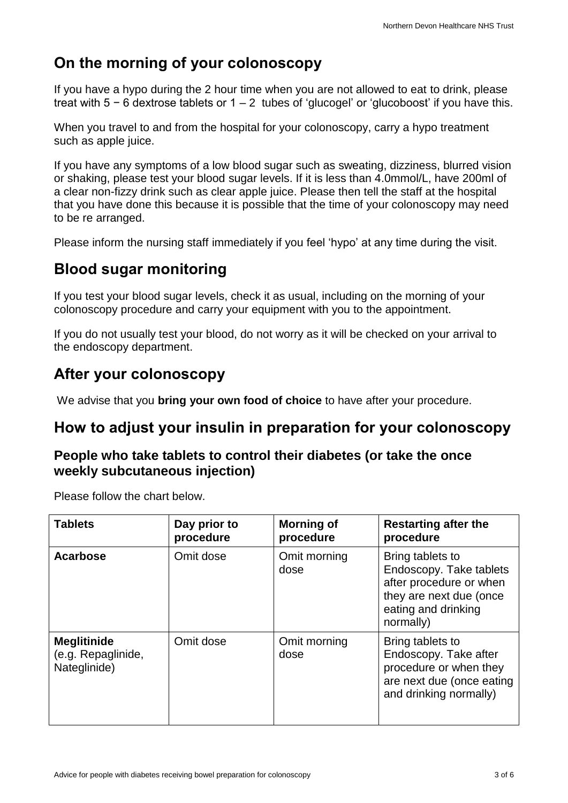# **On the morning of your colonoscopy**

If you have a hypo during the 2 hour time when you are not allowed to eat to drink, please treat with 5 − 6 dextrose tablets or 1 – 2 tubes of 'glucogel' or 'glucoboost' if you have this.

When you travel to and from the hospital for your colonoscopy, carry a hypo treatment such as apple juice.

If you have any symptoms of a low blood sugar such as sweating, dizziness, blurred vision or shaking, please test your blood sugar levels. If it is less than 4.0mmol/L, have 200ml of a clear non-fizzy drink such as clear apple juice. Please then tell the staff at the hospital that you have done this because it is possible that the time of your colonoscopy may need to be re arranged.

Please inform the nursing staff immediately if you feel 'hypo' at any time during the visit.

## **Blood sugar monitoring**

If you test your blood sugar levels, check it as usual, including on the morning of your colonoscopy procedure and carry your equipment with you to the appointment.

If you do not usually test your blood, do not worry as it will be checked on your arrival to the endoscopy department.

# **After your colonoscopy**

We advise that you **bring your own food of choice** to have after your procedure.

### **How to adjust your insulin in preparation for your colonoscopy**

#### **People who take tablets to control their diabetes (or take the once weekly subcutaneous injection)**

Please follow the chart below.

| <b>Tablets</b>                                           | Day prior to<br>procedure | <b>Morning of</b><br>procedure | <b>Restarting after the</b><br>procedure                                                                                              |
|----------------------------------------------------------|---------------------------|--------------------------------|---------------------------------------------------------------------------------------------------------------------------------------|
| <b>Acarbose</b>                                          | Omit dose                 | Omit morning<br>dose           | Bring tablets to<br>Endoscopy. Take tablets<br>after procedure or when<br>they are next due (once<br>eating and drinking<br>normally) |
| <b>Meglitinide</b><br>(e.g. Repaglinide,<br>Nateglinide) | Omit dose                 | Omit morning<br>dose           | Bring tablets to<br>Endoscopy. Take after<br>procedure or when they<br>are next due (once eating<br>and drinking normally)            |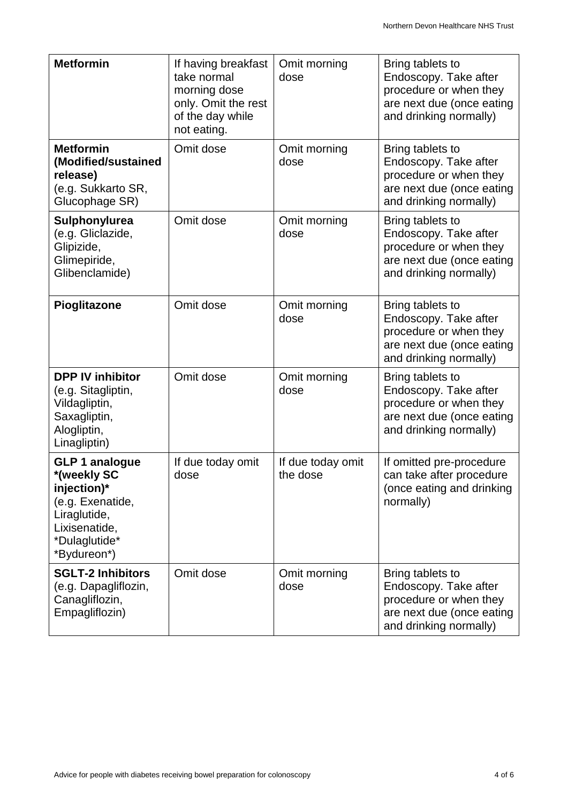| <b>Metformin</b>                                                                                                                         | If having breakfast<br>take normal<br>morning dose<br>only. Omit the rest<br>of the day while<br>not eating. | Omit morning<br>dose          | Bring tablets to<br>Endoscopy. Take after<br>procedure or when they<br>are next due (once eating<br>and drinking normally) |
|------------------------------------------------------------------------------------------------------------------------------------------|--------------------------------------------------------------------------------------------------------------|-------------------------------|----------------------------------------------------------------------------------------------------------------------------|
| <b>Metformin</b><br>(Modified/sustained<br>release)<br>(e.g. Sukkarto SR,<br>Glucophage SR)                                              | Omit dose                                                                                                    | Omit morning<br>dose          | Bring tablets to<br>Endoscopy. Take after<br>procedure or when they<br>are next due (once eating<br>and drinking normally) |
| Sulphonylurea<br>(e.g. Gliclazide,<br>Glipizide,<br>Glimepiride,<br>Glibenclamide)                                                       | Omit dose                                                                                                    | Omit morning<br>dose          | Bring tablets to<br>Endoscopy. Take after<br>procedure or when they<br>are next due (once eating<br>and drinking normally) |
| Pioglitazone                                                                                                                             | Omit dose                                                                                                    | Omit morning<br>dose          | Bring tablets to<br>Endoscopy. Take after<br>procedure or when they<br>are next due (once eating<br>and drinking normally) |
| <b>DPP IV inhibitor</b><br>(e.g. Sitagliptin,<br>Vildagliptin,<br>Saxagliptin,<br>Alogliptin,<br>Linagliptin)                            | Omit dose                                                                                                    | Omit morning<br>dose          | Bring tablets to<br>Endoscopy. Take after<br>procedure or when they<br>are next due (once eating<br>and drinking normally) |
| <b>GLP 1 analogue</b><br>*(weekly SC<br>injection)*<br>(e.g. Exenatide,<br>Liraglutide,<br>Lixisenatide,<br>*Dulaglutide*<br>*Bydureon*) | If due today omit<br>dose                                                                                    | If due today omit<br>the dose | If omitted pre-procedure<br>can take after procedure<br>(once eating and drinking<br>normally)                             |
| <b>SGLT-2 Inhibitors</b><br>(e.g. Dapagliflozin,<br>Canagliflozin,<br>Empagliflozin)                                                     | Omit dose                                                                                                    | Omit morning<br>dose          | Bring tablets to<br>Endoscopy. Take after<br>procedure or when they<br>are next due (once eating<br>and drinking normally) |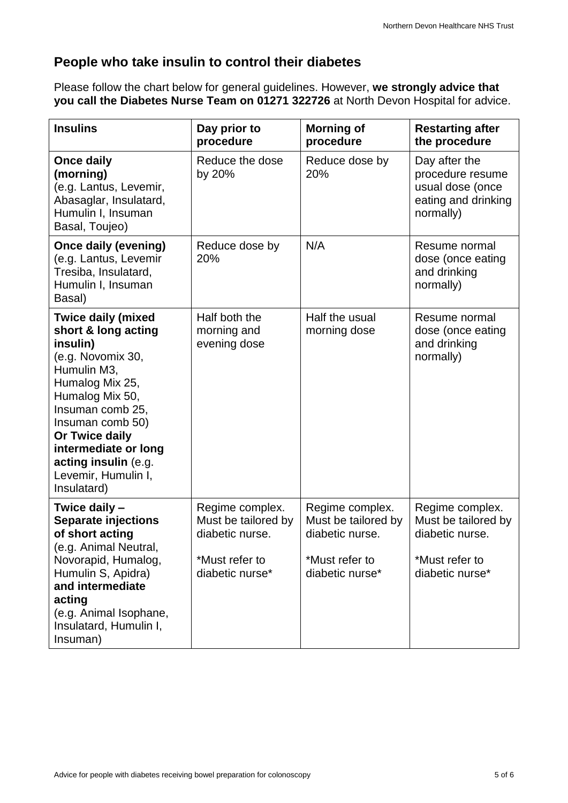### **People who take insulin to control their diabetes**

Please follow the chart below for general guidelines. However, **we strongly advice that you call the Diabetes Nurse Team on 01271 322726** at North Devon Hospital for advice.

| <b>Insulins</b>                                                                                                                                                                                                                                                                        | Day prior to<br>procedure                                                                      | <b>Morning of</b><br>procedure                                                                 | <b>Restarting after</b><br>the procedure                                                       |
|----------------------------------------------------------------------------------------------------------------------------------------------------------------------------------------------------------------------------------------------------------------------------------------|------------------------------------------------------------------------------------------------|------------------------------------------------------------------------------------------------|------------------------------------------------------------------------------------------------|
| <b>Once daily</b><br>(morning)<br>(e.g. Lantus, Levemir,<br>Abasaglar, Insulatard,<br>Humulin I, Insuman<br>Basal, Toujeo)                                                                                                                                                             | Reduce the dose<br>by 20%                                                                      | Reduce dose by<br>20%                                                                          | Day after the<br>procedure resume<br>usual dose (once<br>eating and drinking<br>normally)      |
| <b>Once daily (evening)</b><br>(e.g. Lantus, Levemir<br>Tresiba, Insulatard,<br>Humulin I, Insuman<br>Basal)                                                                                                                                                                           | Reduce dose by<br>20%                                                                          | N/A                                                                                            | Resume normal<br>dose (once eating<br>and drinking<br>normally)                                |
| <b>Twice daily (mixed</b><br>short & long acting<br>insulin)<br>(e.g. Novomix 30,<br>Humulin M3,<br>Humalog Mix 25,<br>Humalog Mix 50,<br>Insuman comb 25,<br>Insuman comb 50)<br>Or Twice daily<br>intermediate or long<br>acting insulin (e.g.<br>Levemir, Humulin I,<br>Insulatard) | Half both the<br>morning and<br>evening dose                                                   | Half the usual<br>morning dose                                                                 | Resume normal<br>dose (once eating<br>and drinking<br>normally)                                |
| Twice daily -<br><b>Separate injections</b><br>of short acting<br>(e.g. Animal Neutral,<br>Novorapid, Humalog,<br>Humulin S, Apidra)<br>and intermediate<br>acting<br>(e.g. Animal Isophane,<br>Insulatard, Humulin I,<br>Insuman)                                                     | Regime complex.<br>Must be tailored by<br>diabetic nurse.<br>*Must refer to<br>diabetic nurse* | Regime complex.<br>Must be tailored by<br>diabetic nurse.<br>*Must refer to<br>diabetic nurse* | Regime complex.<br>Must be tailored by<br>diabetic nurse.<br>*Must refer to<br>diabetic nurse* |